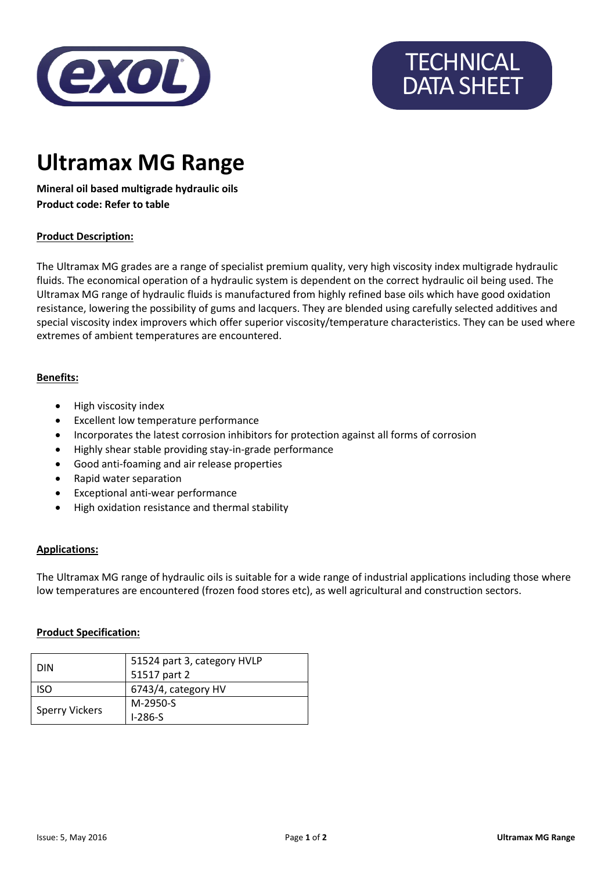

# **TECHNICAL** DATA SHEET

# **Ultramax MG Range**

**Mineral oil based multigrade hydraulic oils Product code: Refer to table**

## **Product Description:**

The Ultramax MG grades are a range of specialist premium quality, very high viscosity index multigrade hydraulic fluids. The economical operation of a hydraulic system is dependent on the correct hydraulic oil being used. The Ultramax MG range of hydraulic fluids is manufactured from highly refined base oils which have good oxidation resistance, lowering the possibility of gums and lacquers. They are blended using carefully selected additives and special viscosity index improvers which offer superior viscosity/temperature characteristics. They can be used where extremes of ambient temperatures are encountered.

#### **Benefits:**

- High viscosity index
- Excellent low temperature performance
- Incorporates the latest corrosion inhibitors for protection against all forms of corrosion
- Highly shear stable providing stay-in-grade performance
- Good anti-foaming and air release properties
- Rapid water separation
- Exceptional anti-wear performance
- High oxidation resistance and thermal stability

#### **Applications:**

The Ultramax MG range of hydraulic oils is suitable for a wide range of industrial applications including those where low temperatures are encountered (frozen food stores etc), as well agricultural and construction sectors.

#### **Product Specification:**

| <b>DIN</b>            | 51524 part 3, category HVLP<br>51517 part 2 |
|-----------------------|---------------------------------------------|
| <b>ISO</b>            | 6743/4, category HV                         |
| <b>Sperry Vickers</b> | M-2950-S                                    |
|                       | $1-286-S$                                   |